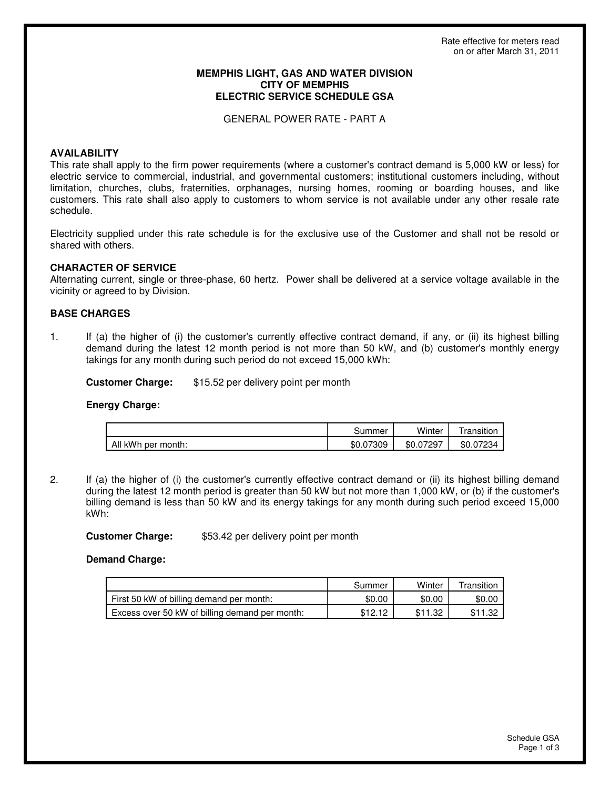## **MEMPHIS LIGHT, GAS AND WATER DIVISION CITY OF MEMPHIS ELECTRIC SERVICE SCHEDULE GSA**

GENERAL POWER RATE - PART A

# **AVAILABILITY**

This rate shall apply to the firm power requirements (where a customer's contract demand is 5,000 kW or less) for electric service to commercial, industrial, and governmental customers; institutional customers including, without limitation, churches, clubs, fraternities, orphanages, nursing homes, rooming or boarding houses, and like customers. This rate shall also apply to customers to whom service is not available under any other resale rate schedule.

Electricity supplied under this rate schedule is for the exclusive use of the Customer and shall not be resold or shared with others.

# **CHARACTER OF SERVICE**

Alternating current, single or three-phase, 60 hertz. Power shall be delivered at a service voltage available in the vicinity or agreed to by Division.

# **BASE CHARGES**

1. If (a) the higher of (i) the customer's currently effective contract demand, if any, or (ii) its highest billing demand during the latest 12 month period is not more than 50 kW, and (b) customer's monthly energy takings for any month during such period do not exceed 15,000 kWh:

**Customer Charge:** \$15.52 per delivery point per month

## **Energy Charge:**

|                         | കummer    | Winter                | ∣ ransıtıon    |
|-------------------------|-----------|-----------------------|----------------|
| All kWh<br>∘ per month: | \$0.07309 | 7297<br>\$0.07<br>.u7 | 07234<br>\$0.0 |

2. If (a) the higher of (i) the customer's currently effective contract demand or (ii) its highest billing demand during the latest 12 month period is greater than 50 kW but not more than 1,000 kW, or (b) if the customer's billing demand is less than 50 kW and its energy takings for any month during such period exceed 15,000 kWh:

**Customer Charge:** \$53.42 per delivery point per month

**Demand Charge:**

|                                                | Summer  | Winter  | Transition |
|------------------------------------------------|---------|---------|------------|
| First 50 kW of billing demand per month:       | \$0.00  | \$0.00  | \$0.00     |
| Excess over 50 kW of billing demand per month: | \$12.12 | \$11.32 | \$11.32    |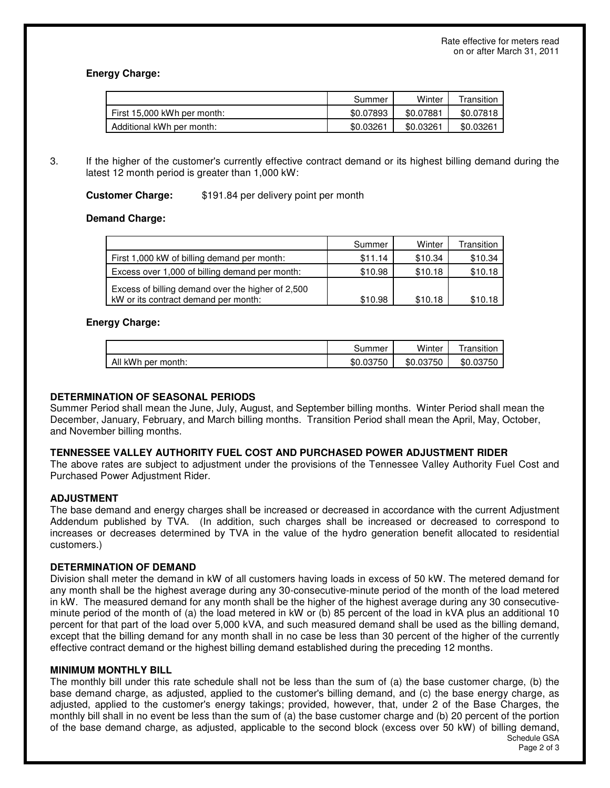# **Energy Charge:**

|                             | Summer    | Winter    | Transition |
|-----------------------------|-----------|-----------|------------|
| First 15.000 kWh per month: | \$0.07893 | \$0.07881 | \$0.07818  |
| Additional kWh per month:   | \$0.03261 | \$0.03261 | \$0.03261  |

3. If the higher of the customer's currently effective contract demand or its highest billing demand during the latest 12 month period is greater than 1,000 kW:

# **Customer Charge:** \$191.84 per delivery point per month

# **Demand Charge:**

|                                                                                           | Summer  | Winter  | Transition |
|-------------------------------------------------------------------------------------------|---------|---------|------------|
| First 1,000 kW of billing demand per month:                                               | \$11.14 | \$10.34 | \$10.34    |
| Excess over 1,000 of billing demand per month:                                            | \$10.98 | \$10.18 | \$10.18    |
| Excess of billing demand over the higher of 2,500<br>kW or its contract demand per month: | \$10.98 | \$10.18 | \$10.18    |

# **Energy Charge:**

|                    | Summer    | Winter    | <sup>r</sup> ransition |
|--------------------|-----------|-----------|------------------------|
| All kWh per month: | \$0.03750 | \$0.03750 | \$0.03750              |

# **DETERMINATION OF SEASONAL PERIODS**

Summer Period shall mean the June, July, August, and September billing months. Winter Period shall mean the December, January, February, and March billing months. Transition Period shall mean the April, May, October, and November billing months.

## **TENNESSEE VALLEY AUTHORITY FUEL COST AND PURCHASED POWER ADJUSTMENT RIDER**

The above rates are subject to adjustment under the provisions of the Tennessee Valley Authority Fuel Cost and Purchased Power Adjustment Rider.

## **ADJUSTMENT**

The base demand and energy charges shall be increased or decreased in accordance with the current Adjustment Addendum published by TVA. (In addition, such charges shall be increased or decreased to correspond to increases or decreases determined by TVA in the value of the hydro generation benefit allocated to residential customers.)

## **DETERMINATION OF DEMAND**

Division shall meter the demand in kW of all customers having loads in excess of 50 kW. The metered demand for any month shall be the highest average during any 30-consecutive-minute period of the month of the load metered in kW. The measured demand for any month shall be the higher of the highest average during any 30 consecutiveminute period of the month of (a) the load metered in kW or (b) 85 percent of the load in kVA plus an additional 10 percent for that part of the load over 5,000 kVA, and such measured demand shall be used as the billing demand, except that the billing demand for any month shall in no case be less than 30 percent of the higher of the currently effective contract demand or the highest billing demand established during the preceding 12 months.

## **MINIMUM MONTHLY BILL**

Schedule GSA The monthly bill under this rate schedule shall not be less than the sum of (a) the base customer charge, (b) the base demand charge, as adjusted, applied to the customer's billing demand, and (c) the base energy charge, as adjusted, applied to the customer's energy takings; provided, however, that, under 2 of the Base Charges, the monthly bill shall in no event be less than the sum of (a) the base customer charge and (b) 20 percent of the portion of the base demand charge, as adjusted, applicable to the second block (excess over 50 kW) of billing demand,